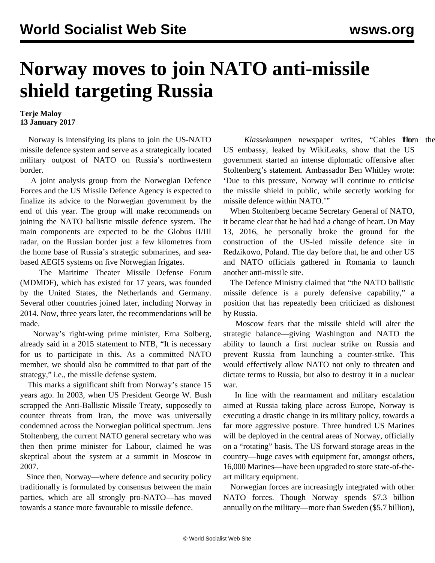## **Norway moves to join NATO anti-missile shield targeting Russia**

## **Terje Maloy 13 January 2017**

 Norway is intensifying its plans to join the US-NATO missile defence system and serve as a strategically located military outpost of NATO on Russia's northwestern border.

 A joint analysis group from the Norwegian Defence Forces and the US Missile Defence Agency is expected to finalize its advice to the Norwegian government by the end of this year. The group will make recommends on joining the NATO ballistic missile defence system. The main components are expected to be the Globus II/III radar, on the Russian border just a few kilometres from the home base of Russia's strategic submarines, and seabased AEGIS systems on five Norwegian frigates.

 The Maritime Theater Missile Defense Forum (MDMDF), which has existed for 17 years, was founded by the United States, the Netherlands and Germany. Several other countries joined later, including Norway in 2014. Now, three years later, the recommendations will be made.

 Norway's right-wing prime minister, Erna Solberg, already said in a 2015 statement to NTB, "It is necessary for us to participate in this. As a committed NATO member, we should also be committed to that part of the strategy," i.e., the missile defense system.

 This marks a significant shift from Norway's stance 15 years ago. In 2003, when US President George W. Bush scrapped the Anti-Ballistic Missile Treaty, supposedly to counter threats from Iran, the move was universally condemned across the Norwegian political spectrum. Jens Stoltenberg, the current NATO general secretary who was then then prime minister for Labour, claimed he was skeptical about the system at a summit in Moscow in 2007.

 Since then, Norway—where defence and security policy traditionally is formulated by consensus between the main parties, which are all strongly pro-NATO—has moved towards a stance more favourable to missile defence.

Klassekampen newspaper writes, "Cables **Then** the US embassy, leaked by WikiLeaks, show that the US government started an intense diplomatic offensive after Stoltenberg's statement. Ambassador Ben Whitley wrote: 'Due to this pressure, Norway will continue to criticise the missile shield in public, while secretly working for missile defence within NATO.'"

 When Stoltenberg became Secretary General of NATO, it became clear that he had had a change of heart. On May 13, 2016, he personally broke the ground for the construction of the US-led missile defence site in Redzikowo, Poland. The day before that, he and other US and NATO officials gathered in Romania to launch another anti-missile site.

 The Defence Ministry claimed that "the NATO ballistic missile defence is a purely defensive capability," a position that has repeatedly been criticized as dishonest by Russia.

 Moscow fears that the missile shield will alter the strategic balance—giving Washington and NATO the ability to launch a first nuclear strike on Russia and prevent Russia from launching a counter-strike. This would effectively allow NATO not only to threaten and dictate terms to Russia, but also to destroy it in a nuclear war.

 In line with the rearmament and military escalation aimed at Russia taking place across Europe, Norway is executing a drastic change in its military policy, towards a far more aggressive posture. Three hundred US Marines will be deployed in the central areas of Norway, officially on a "rotating" basis. The US forward storage areas in the country—huge caves with equipment for, amongst others, 16,000 Marines—have been upgraded to store state-of-theart military equipment.

 Norwegian forces are increasingly integrated with other NATO forces. Though Norway spends \$7.3 billion annually on the military—more than Sweden (\$5.7 billion),